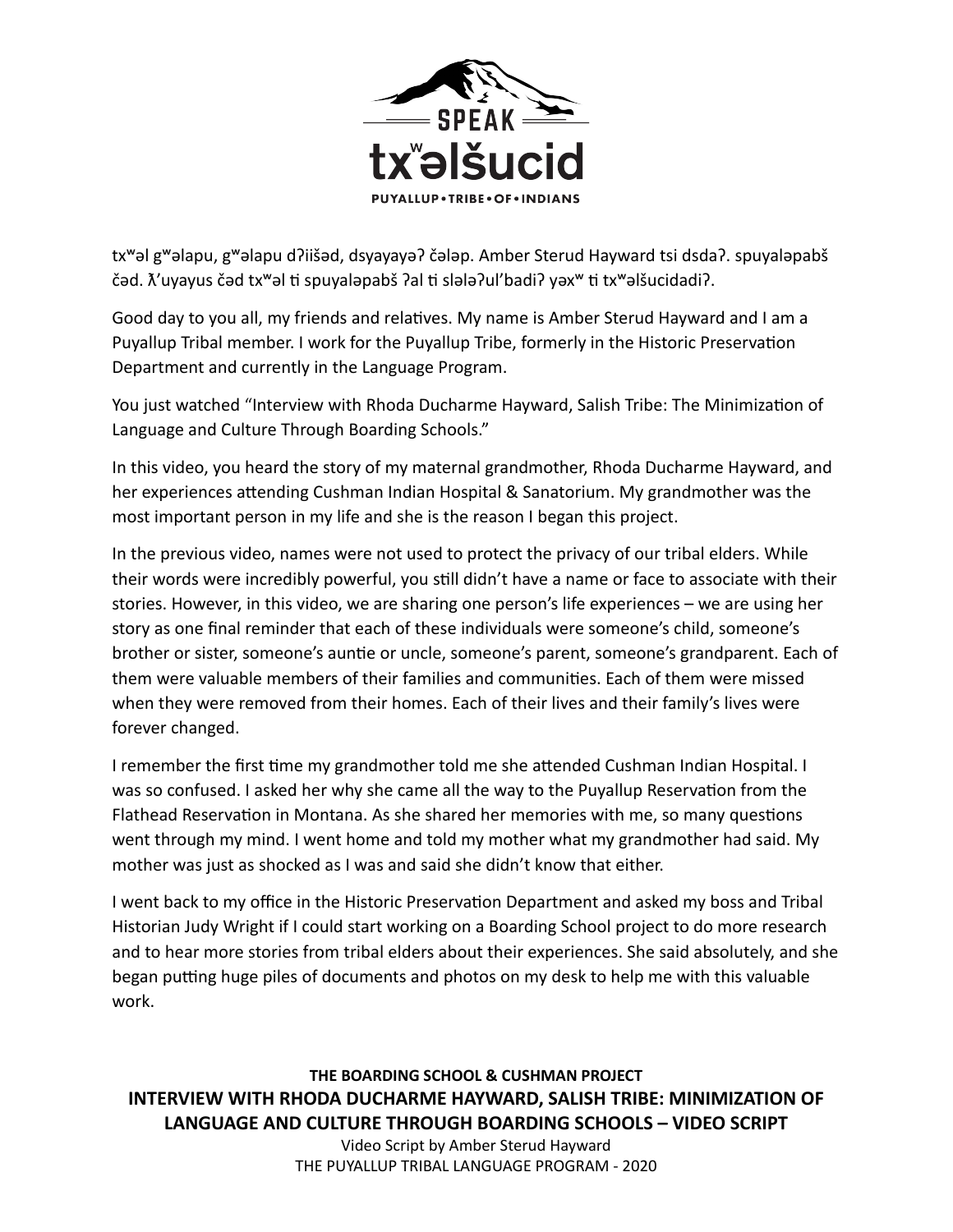

txʷəl gʷəlapu, gʷəlapu dʔiišəd, dsyayayəʔ čələp. Amber Sterud Hayward tsi dsdaʔ. spuyaləpabš čəd.  $\tilde{\Lambda}'$ uyayus čəd tx<sup>w</sup>əl ti spuyaləpabš ?al ti slələ?ul'badi? yəx<sup>w</sup> ti tx<sup>w</sup>əlšucidadi?.

Good day to you all, my friends and relatives. My name is Amber Sterud Hayward and I am a Puyallup Tribal member. I work for the Puyallup Tribe, formerly in the Historic Preservation Department and currently in the Language Program.

You just watched "Interview with Rhoda Ducharme Hayward, Salish Tribe: The Minimization of Language and Culture Through Boarding Schools."

In this video, you heard the story of my maternal grandmother, Rhoda Ducharme Hayward, and her experiences attending Cushman Indian Hospital & Sanatorium. My grandmother was the most important person in my life and she is the reason I began this project.

In the previous video, names were not used to protect the privacy of our tribal elders. While their words were incredibly powerful, you still didn't have a name or face to associate with their stories. However, in this video, we are sharing one person's life experiences – we are using her story as one final reminder that each of these individuals were someone's child, someone's brother or sister, someone's auntie or uncle, someone's parent, someone's grandparent. Each of them were valuable members of their families and communities. Each of them were missed when they were removed from their homes. Each of their lives and their family's lives were forever changed.

I remember the first time my grandmother told me she attended Cushman Indian Hospital. I was so confused. I asked her why she came all the way to the Puyallup Reservation from the Flathead Reservation in Montana. As she shared her memories with me, so many questions went through my mind. I went home and told my mother what my grandmother had said. My mother was just as shocked as I was and said she didn't know that either.

I went back to my office in the Historic Preservation Department and asked my boss and Tribal Historian Judy Wright if I could start working on a Boarding School project to do more research and to hear more stories from tribal elders about their experiences. She said absolutely, and she began putting huge piles of documents and photos on my desk to help me with this valuable work.

**THE BOARDING SCHOOL & CUSHMAN PROJECT INTERVIEW WITH RHODA DUCHARME HAYWARD, SALISH TRIBE: MINIMIZATION OF LANGUAGE AND CULTURE THROUGH BOARDING SCHOOLS – VIDEO SCRIPT** 

Video Script by Amber Sterud Hayward THE PUYALLUP TRIBAL LANGUAGE PROGRAM - 2020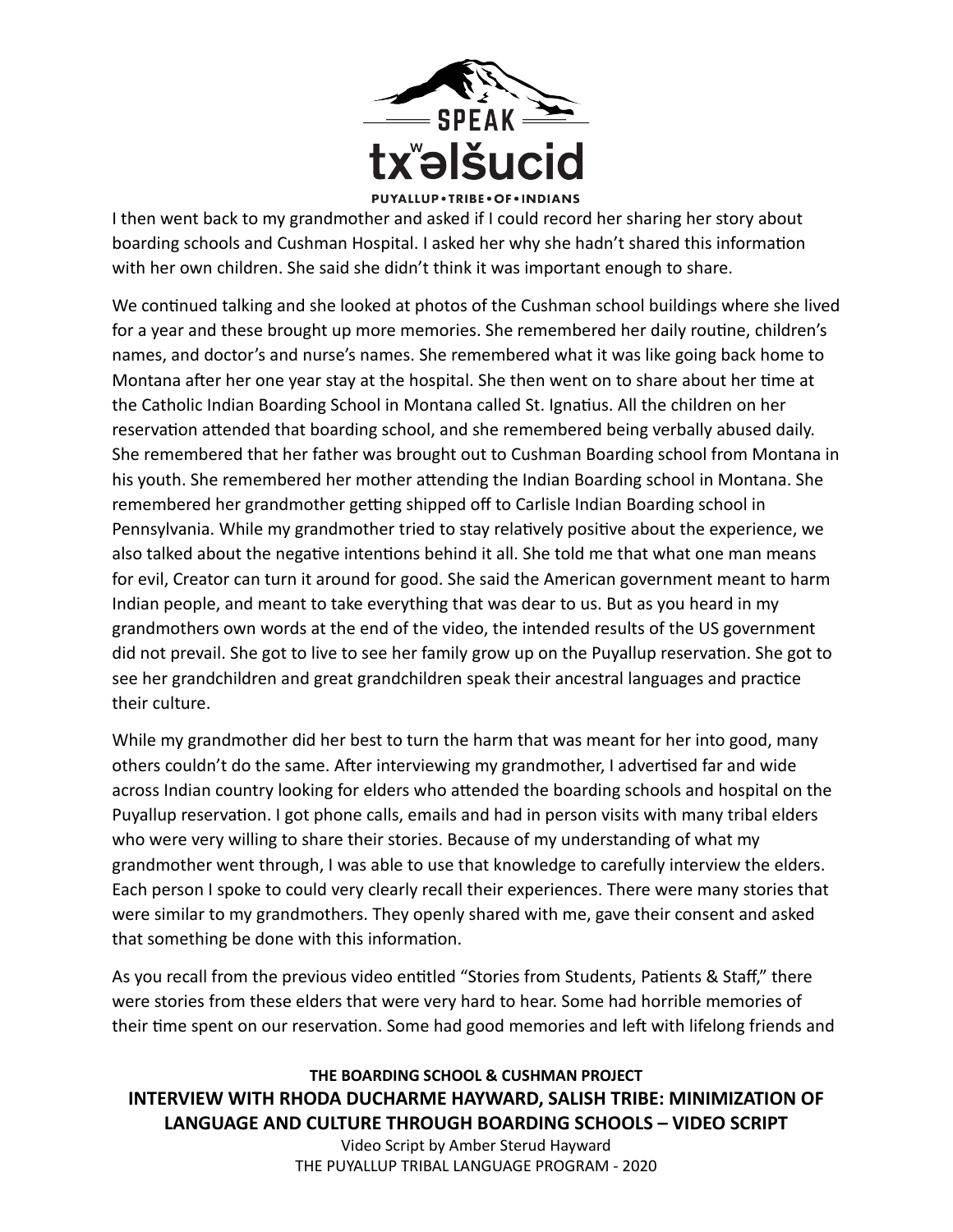

I then went back to my grandmother and asked if I could record her sharing her story about boarding schools and Cushman Hospital. I asked her why she hadn't shared this information with her own children. She said she didn't think it was important enough to share.

We continued talking and she looked at photos of the Cushman school buildings where she lived for a year and these brought up more memories. She remembered her daily routine, children's names, and doctor's and nurse's names. She remembered what it was like going back home to Montana after her one year stay at the hospital. She then went on to share about her time at the Catholic Indian Boarding School in Montana called St. Ignatius. All the children on her reservation attended that boarding school, and she remembered being verbally abused daily. She remembered that her father was brought out to Cushman Boarding school from Montana in his youth. She remembered her mother attending the Indian Boarding school in Montana. She remembered her grandmother getting shipped off to Carlisle Indian Boarding school in Pennsylvania. While my grandmother tried to stay relatively positive about the experience, we also talked about the negative intentions behind it all. She told me that what one man means for evil, Creator can turn it around for good. She said the American government meant to harm Indian people, and meant to take everything that was dear to us. But as you heard in my grandmothers own words at the end of the video, the intended results of the US government did not prevail. She got to live to see her family grow up on the Puyallup reservation. She got to see her grandchildren and great grandchildren speak their ancestral languages and practice their culture.

While my grandmother did her best to turn the harm that was meant for her into good, many others couldn't do the same. After interviewing my grandmother, I advertised far and wide across Indian country looking for elders who attended the boarding schools and hospital on the Puyallup reservation. I got phone calls, emails and had in person visits with many tribal elders who were very willing to share their stories. Because of my understanding of what my grandmother went through, I was able to use that knowledge to carefully interview the elders. Each person I spoke to could very clearly recall their experiences. There were many stories that were similar to my grandmothers. They openly shared with me, gave their consent and asked that something be done with this information.

As you recall from the previous video entitled "Stories from Students, Patients & Staff," there were stories from these elders that were very hard to hear. Some had horrible memories of their time spent on our reservation. Some had good memories and left with lifelong friends and

## **THE BOARDING SCHOOL & CUSHMAN PROJECT INTERVIEW WITH RHODA DUCHARME HAYWARD, SALISH TRIBE: MINIMIZATION OF LANGUAGE AND CULTURE THROUGH BOARDING SCHOOLS – VIDEO SCRIPT**

Video Script by Amber Sterud Hayward THE PUYALLUP TRIBAL LANGUAGE PROGRAM - 2020